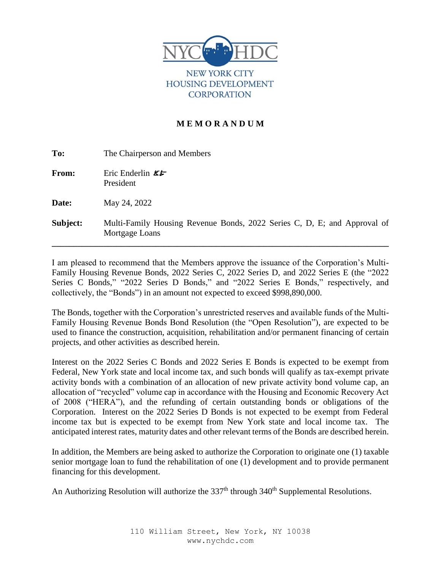

**NEW YORK CITY HOUSING DEVELOPMENT CORPORATION** 

# **M E M O R A N D U M**

| To:      | The Chairperson and Members                                                                |
|----------|--------------------------------------------------------------------------------------------|
| From:    | Eric Enderlin $\mathcal{E}$<br>President                                                   |
| Date:    | May 24, 2022                                                                               |
| Subject: | Multi-Family Housing Revenue Bonds, 2022 Series C, D, E; and Approval of<br>Mortgage Loans |

I am pleased to recommend that the Members approve the issuance of the Corporation's Multi-Family Housing Revenue Bonds, 2022 Series C, 2022 Series D, and 2022 Series E (the "2022 Series C Bonds," "2022 Series D Bonds," and "2022 Series E Bonds," respectively, and collectively, the "Bonds") in an amount not expected to exceed \$998,890,000.

The Bonds, together with the Corporation's unrestricted reserves and available funds of the Multi-Family Housing Revenue Bonds Bond Resolution (the "Open Resolution"), are expected to be used to finance the construction, acquisition, rehabilitation and/or permanent financing of certain projects, and other activities as described herein.

Interest on the 2022 Series C Bonds and 2022 Series E Bonds is expected to be exempt from Federal, New York state and local income tax, and such bonds will qualify as tax-exempt private activity bonds with a combination of an allocation of new private activity bond volume cap, an allocation of "recycled" volume cap in accordance with the Housing and Economic Recovery Act of 2008 ("HERA"), and the refunding of certain outstanding bonds or obligations of the Corporation. Interest on the 2022 Series D Bonds is not expected to be exempt from Federal income tax but is expected to be exempt from New York state and local income tax. The anticipated interest rates, maturity dates and other relevant terms of the Bonds are described herein.

In addition, the Members are being asked to authorize the Corporation to originate one (1) taxable senior mortgage loan to fund the rehabilitation of one (1) development and to provide permanent financing for this development.

An Authorizing Resolution will authorize the 337<sup>th</sup> through 340<sup>th</sup> Supplemental Resolutions.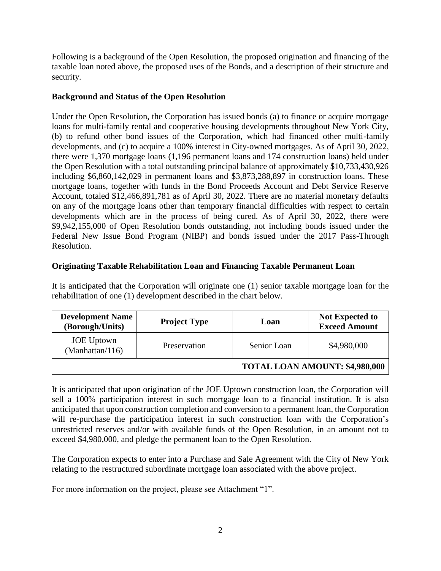Following is a background of the Open Resolution, the proposed origination and financing of the taxable loan noted above, the proposed uses of the Bonds, and a description of their structure and security.

# **Background and Status of the Open Resolution**

Under the Open Resolution, the Corporation has issued bonds (a) to finance or acquire mortgage loans for multi-family rental and cooperative housing developments throughout New York City, (b) to refund other bond issues of the Corporation, which had financed other multi-family developments, and (c) to acquire a 100% interest in City-owned mortgages. As of April 30, 2022, there were 1,370 mortgage loans (1,196 permanent loans and 174 construction loans) held under the Open Resolution with a total outstanding principal balance of approximately \$10,733,430,926 including \$6,860,142,029 in permanent loans and \$3,873,288,897 in construction loans. These mortgage loans, together with funds in the Bond Proceeds Account and Debt Service Reserve Account, totaled \$12,466,891,781 as of April 30, 2022. There are no material monetary defaults on any of the mortgage loans other than temporary financial difficulties with respect to certain developments which are in the process of being cured. As of April 30, 2022, there were \$9,942,155,000 of Open Resolution bonds outstanding, not including bonds issued under the Federal New Issue Bond Program (NIBP) and bonds issued under the 2017 Pass-Through Resolution.

# **Originating Taxable Rehabilitation Loan and Financing Taxable Permanent Loan**

It is anticipated that the Corporation will originate one (1) senior taxable mortgage loan for the rehabilitation of one (1) development described in the chart below.

| <b>Development Name</b><br>(Borough/Units) | <b>Project Type</b> | Loan        | <b>Not Expected to</b><br><b>Exceed Amount</b> |
|--------------------------------------------|---------------------|-------------|------------------------------------------------|
| <b>JOE</b> Uptown<br>(Manhattan/116)       | Preservation        | Senior Loan | \$4,980,000                                    |
|                                            |                     |             | TOTAL LOAN AMOUNT: \$4,980,000                 |

It is anticipated that upon origination of the JOE Uptown construction loan, the Corporation will sell a 100% participation interest in such mortgage loan to a financial institution. It is also anticipated that upon construction completion and conversion to a permanent loan, the Corporation will re-purchase the participation interest in such construction loan with the Corporation's unrestricted reserves and/or with available funds of the Open Resolution, in an amount not to exceed \$4,980,000, and pledge the permanent loan to the Open Resolution.

The Corporation expects to enter into a Purchase and Sale Agreement with the City of New York relating to the restructured subordinate mortgage loan associated with the above project.

For more information on the project, please see Attachment "1".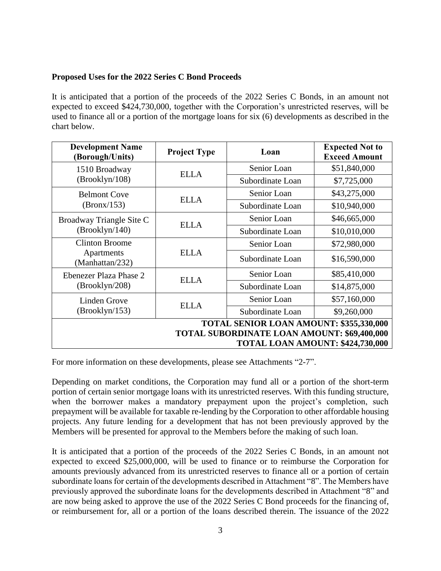## **Proposed Uses for the 2022 Series C Bond Proceeds**

It is anticipated that a portion of the proceeds of the 2022 Series C Bonds, in an amount not expected to exceed \$424,730,000, together with the Corporation's unrestricted reserves, will be used to finance all or a portion of the mortgage loans for six (6) developments as described in the chart below.

| <b>Development Name</b><br>(Borough/Units)                                             | <b>Project Type</b> | Loan             | <b>Expected Not to</b><br><b>Exceed Amount</b> |
|----------------------------------------------------------------------------------------|---------------------|------------------|------------------------------------------------|
| 1510 Broadway                                                                          | <b>ELLA</b>         | Senior Loan      | \$51,840,000                                   |
| (Brooklyn/108)                                                                         |                     | Subordinate Loan | \$7,725,000                                    |
| <b>Belmont Cove</b>                                                                    | <b>ELLA</b>         | Senior Loan      | \$43,275,000                                   |
| (Bronx/153)                                                                            |                     | Subordinate Loan | \$10,940,000                                   |
| Broadway Triangle Site C                                                               | <b>ELLA</b>         | Senior Loan      | \$46,665,000                                   |
| (Brooklyn/140)                                                                         |                     | Subordinate Loan | \$10,010,000                                   |
| <b>Clinton Broome</b>                                                                  |                     | Senior Loan      | \$72,980,000                                   |
| Apartments<br>(Manhattan/232)                                                          | <b>ELLA</b>         | Subordinate Loan | \$16,590,000                                   |
| Ebenezer Plaza Phase 2                                                                 | <b>ELLA</b>         | Senior Loan      | \$85,410,000                                   |
| (Brooklyn/208)                                                                         |                     |                  | \$14,875,000                                   |
| Linden Grove                                                                           | <b>ELLA</b>         | Senior Loan      | \$57,160,000                                   |
| (Brooklyn/153)                                                                         |                     | Subordinate Loan | \$9,260,000                                    |
| TOTAL SENIOR LOAN AMOUNT: \$355,330,000<br>TOTAL SUBORDINATE LOAN AMOUNT: \$69,400,000 |                     |                  |                                                |
| TOTAL LOAN AMOUNT: \$424,730,000                                                       |                     |                  |                                                |

For more information on these developments, please see Attachments "2-7".

Depending on market conditions, the Corporation may fund all or a portion of the short-term portion of certain senior mortgage loans with its unrestricted reserves. With this funding structure, when the borrower makes a mandatory prepayment upon the project's completion, such prepayment will be available for taxable re-lending by the Corporation to other affordable housing projects. Any future lending for a development that has not been previously approved by the Members will be presented for approval to the Members before the making of such loan.

It is anticipated that a portion of the proceeds of the 2022 Series C Bonds, in an amount not expected to exceed \$25,000,000, will be used to finance or to reimburse the Corporation for amounts previously advanced from its unrestricted reserves to finance all or a portion of certain subordinate loans for certain of the developments described in Attachment "8". The Members have previously approved the subordinate loans for the developments described in Attachment "8" and are now being asked to approve the use of the 2022 Series C Bond proceeds for the financing of, or reimbursement for, all or a portion of the loans described therein. The issuance of the 2022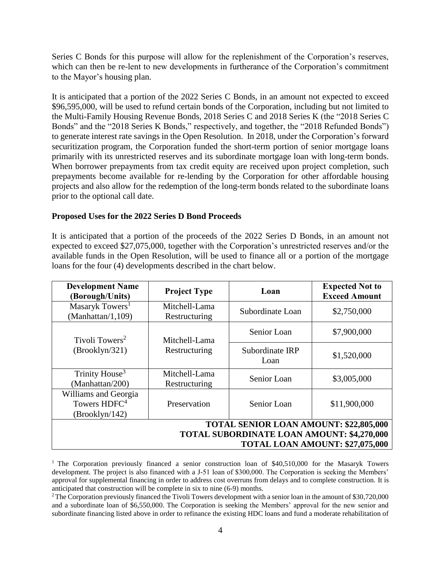Series C Bonds for this purpose will allow for the replenishment of the Corporation's reserves, which can then be re-lent to new developments in furtherance of the Corporation's commitment to the Mayor's housing plan.

It is anticipated that a portion of the 2022 Series C Bonds, in an amount not expected to exceed \$96,595,000, will be used to refund certain bonds of the Corporation, including but not limited to the Multi-Family Housing Revenue Bonds, 2018 Series C and 2018 Series K (the "2018 Series C Bonds" and the "2018 Series K Bonds," respectively, and together, the "2018 Refunded Bonds") to generate interest rate savings in the Open Resolution. In 2018, under the Corporation's forward securitization program, the Corporation funded the short-term portion of senior mortgage loans primarily with its unrestricted reserves and its subordinate mortgage loan with long-term bonds. When borrower prepayments from tax credit equity are received upon project completion, such prepayments become available for re-lending by the Corporation for other affordable housing projects and also allow for the redemption of the long-term bonds related to the subordinate loans prior to the optional call date.

## **Proposed Uses for the 2022 Series D Bond Proceeds**

It is anticipated that a portion of the proceeds of the 2022 Series D Bonds, in an amount not expected to exceed \$27,075,000, together with the Corporation's unrestricted reserves and/or the available funds in the Open Resolution, will be used to finance all or a portion of the mortgage loans for the four (4) developments described in the chart below.

| <b>Development Name</b><br>(Borough/Units)                                                                                     | <b>Project Type</b>            | Loan                    | <b>Expected Not to</b><br><b>Exceed Amount</b> |
|--------------------------------------------------------------------------------------------------------------------------------|--------------------------------|-------------------------|------------------------------------------------|
| Masaryk Towers <sup>1</sup><br>(Manhattan/1,109)                                                                               | Mitchell-Lama<br>Restructuring | Subordinate Loan        | \$2,750,000                                    |
| Tivoli Towers <sup>2</sup>                                                                                                     | Mitchell-Lama                  | Senior Loan             | \$7,900,000                                    |
| (Brooklyn/321)                                                                                                                 | Restructuring                  | Subordinate IRP<br>Loan | \$1,520,000                                    |
| Trinity House <sup>3</sup><br>(Manhattan/200)                                                                                  | Mitchell-Lama<br>Restructuring | Senior Loan             | \$3,005,000                                    |
| Williams and Georgia<br>Towers HDFC <sup>4</sup><br>(Brooklyn/142)                                                             | Preservation                   | Senior Loan             | \$11,900,000                                   |
| TOTAL SENIOR LOAN AMOUNT: \$22,805,000<br><b>TOTAL SUBORDINATE LOAN AMOUNT: \$4,270,000</b><br>TOTAL LOAN AMOUNT: \$27,075,000 |                                |                         |                                                |

<sup>&</sup>lt;sup>1</sup> The Corporation previously financed a senior construction loan of \$40,510,000 for the Masaryk Towers development. The project is also financed with a J-51 loan of \$300,000. The Corporation is seeking the Members' approval for supplemental financing in order to address cost overruns from delays and to complete construction. It is anticipated that construction will be complete in six to nine (6-9) months.

<sup>&</sup>lt;sup>2</sup>The Corporation previously financed the Tivoli Towers development with a senior loan in the amount of \$30,720,000 and a subordinate loan of \$6,550,000. The Corporation is seeking the Members' approval for the new senior and subordinate financing listed above in order to refinance the existing HDC loans and fund a moderate rehabilitation of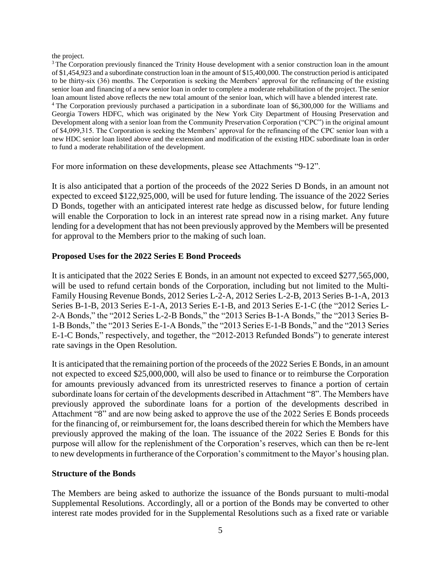#### the project.

<sup>3</sup> The Corporation previously financed the Trinity House development with a senior construction loan in the amount of \$1,454,923 and a subordinate construction loan in the amount of \$15,400,000. The construction period is anticipated to be thirty-six (36) months. The Corporation is seeking the Members' approval for the refinancing of the existing senior loan and financing of a new senior loan in order to complete a moderate rehabilitation of the project. The senior loan amount listed above reflects the new total amount of the senior loan, which will have a blended interest rate. <sup>4</sup> The Corporation previously purchased a participation in a subordinate loan of \$6,300,000 for the Williams and Georgia Towers HDFC, which was originated by the New York City Department of Housing Preservation and Development along with a senior loan from the Community Preservation Corporation ("CPC") in the original amount of \$4,099,315. The Corporation is seeking the Members' approval for the refinancing of the CPC senior loan with a new HDC senior loan listed above and the extension and modification of the existing HDC subordinate loan in order to fund a moderate rehabilitation of the development.

For more information on these developments, please see Attachments "9-12".

It is also anticipated that a portion of the proceeds of the 2022 Series D Bonds, in an amount not expected to exceed \$122,925,000, will be used for future lending. The issuance of the 2022 Series D Bonds, together with an anticipated interest rate hedge as discussed below, for future lending will enable the Corporation to lock in an interest rate spread now in a rising market. Any future lending for a development that has not been previously approved by the Members will be presented for approval to the Members prior to the making of such loan.

## **Proposed Uses for the 2022 Series E Bond Proceeds**

It is anticipated that the 2022 Series E Bonds, in an amount not expected to exceed \$277,565,000, will be used to refund certain bonds of the Corporation, including but not limited to the Multi-Family Housing Revenue Bonds, 2012 Series L-2-A, 2012 Series L-2-B, 2013 Series B-1-A, 2013 Series B-1-B, 2013 Series E-1-A, 2013 Series E-1-B, and 2013 Series E-1-C (the "2012 Series L-2-A Bonds," the "2012 Series L-2-B Bonds," the "2013 Series B-1-A Bonds," the "2013 Series B-1-B Bonds," the "2013 Series E-1-A Bonds," the "2013 Series E-1-B Bonds," and the "2013 Series E-1-C Bonds," respectively, and together, the "2012-2013 Refunded Bonds") to generate interest rate savings in the Open Resolution.

It is anticipated that the remaining portion of the proceeds of the 2022 Series E Bonds, in an amount not expected to exceed \$25,000,000, will also be used to finance or to reimburse the Corporation for amounts previously advanced from its unrestricted reserves to finance a portion of certain subordinate loans for certain of the developments described in Attachment "8". The Members have previously approved the subordinate loans for a portion of the developments described in Attachment "8" and are now being asked to approve the use of the 2022 Series E Bonds proceeds for the financing of, or reimbursement for, the loans described therein for which the Members have previously approved the making of the loan. The issuance of the 2022 Series E Bonds for this purpose will allow for the replenishment of the Corporation's reserves, which can then be re-lent to new developments in furtherance of the Corporation's commitment to the Mayor's housing plan.

## **Structure of the Bonds**

The Members are being asked to authorize the issuance of the Bonds pursuant to multi-modal Supplemental Resolutions. Accordingly, all or a portion of the Bonds may be converted to other interest rate modes provided for in the Supplemental Resolutions such as a fixed rate or variable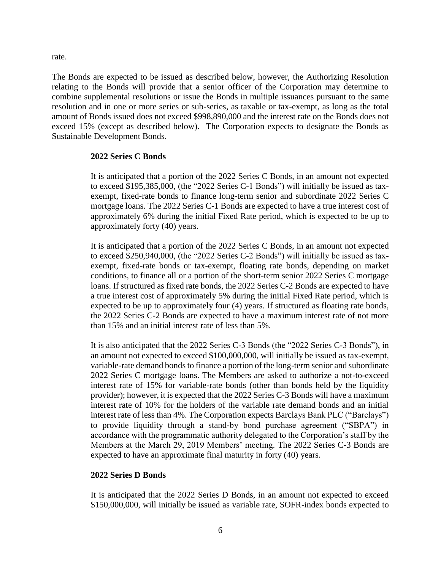rate.

The Bonds are expected to be issued as described below, however, the Authorizing Resolution relating to the Bonds will provide that a senior officer of the Corporation may determine to combine supplemental resolutions or issue the Bonds in multiple issuances pursuant to the same resolution and in one or more series or sub-series, as taxable or tax-exempt, as long as the total amount of Bonds issued does not exceed \$998,890,000 and the interest rate on the Bonds does not exceed 15% (except as described below). The Corporation expects to designate the Bonds as Sustainable Development Bonds.

## **2022 Series C Bonds**

It is anticipated that a portion of the 2022 Series C Bonds, in an amount not expected to exceed \$195,385,000, (the "2022 Series C-1 Bonds") will initially be issued as taxexempt, fixed-rate bonds to finance long-term senior and subordinate 2022 Series C mortgage loans. The 2022 Series C-1 Bonds are expected to have a true interest cost of approximately 6% during the initial Fixed Rate period, which is expected to be up to approximately forty (40) years.

It is anticipated that a portion of the 2022 Series C Bonds, in an amount not expected to exceed \$250,940,000, (the "2022 Series C-2 Bonds") will initially be issued as taxexempt, fixed-rate bonds or tax-exempt, floating rate bonds, depending on market conditions, to finance all or a portion of the short-term senior 2022 Series C mortgage loans. If structured as fixed rate bonds, the 2022 Series C-2 Bonds are expected to have a true interest cost of approximately 5% during the initial Fixed Rate period, which is expected to be up to approximately four (4) years. If structured as floating rate bonds, the 2022 Series C-2 Bonds are expected to have a maximum interest rate of not more than 15% and an initial interest rate of less than 5%.

It is also anticipated that the 2022 Series C-3 Bonds (the "2022 Series C-3 Bonds"), in an amount not expected to exceed \$100,000,000, will initially be issued as tax-exempt, variable-rate demand bonds to finance a portion of the long-term senior and subordinate 2022 Series C mortgage loans. The Members are asked to authorize a not-to-exceed interest rate of 15% for variable-rate bonds (other than bonds held by the liquidity provider); however, it is expected that the 2022 Series C-3 Bonds will have a maximum interest rate of 10% for the holders of the variable rate demand bonds and an initial interest rate of less than 4%. The Corporation expects Barclays Bank PLC ("Barclays") to provide liquidity through a stand-by bond purchase agreement ("SBPA") in accordance with the programmatic authority delegated to the Corporation's staff by the Members at the March 29, 2019 Members' meeting. The 2022 Series C-3 Bonds are expected to have an approximate final maturity in forty (40) years.

## **2022 Series D Bonds**

It is anticipated that the 2022 Series D Bonds, in an amount not expected to exceed \$150,000,000, will initially be issued as variable rate, SOFR-index bonds expected to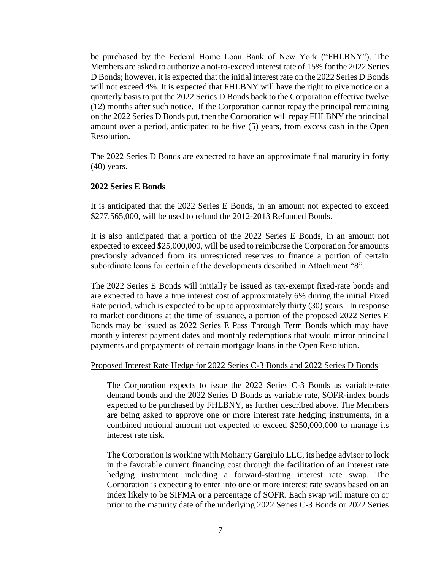be purchased by the Federal Home Loan Bank of New York ("FHLBNY"). The Members are asked to authorize a not-to-exceed interest rate of 15% for the 2022 Series D Bonds; however, it is expected that the initial interest rate on the 2022 Series D Bonds will not exceed 4%. It is expected that FHLBNY will have the right to give notice on a quarterly basis to put the 2022 Series D Bonds back to the Corporation effective twelve (12) months after such notice. If the Corporation cannot repay the principal remaining on the 2022 Series D Bonds put, then the Corporation will repay FHLBNY the principal amount over a period, anticipated to be five (5) years, from excess cash in the Open Resolution.

The 2022 Series D Bonds are expected to have an approximate final maturity in forty (40) years.

## **2022 Series E Bonds**

It is anticipated that the 2022 Series E Bonds, in an amount not expected to exceed \$277,565,000, will be used to refund the 2012-2013 Refunded Bonds.

It is also anticipated that a portion of the 2022 Series E Bonds, in an amount not expected to exceed \$25,000,000, will be used to reimburse the Corporation for amounts previously advanced from its unrestricted reserves to finance a portion of certain subordinate loans for certain of the developments described in Attachment "8".

The 2022 Series E Bonds will initially be issued as tax-exempt fixed-rate bonds and are expected to have a true interest cost of approximately 6% during the initial Fixed Rate period, which is expected to be up to approximately thirty (30) years. In response to market conditions at the time of issuance, a portion of the proposed 2022 Series E Bonds may be issued as 2022 Series E Pass Through Term Bonds which may have monthly interest payment dates and monthly redemptions that would mirror principal payments and prepayments of certain mortgage loans in the Open Resolution.

#### Proposed Interest Rate Hedge for 2022 Series C-3 Bonds and 2022 Series D Bonds

The Corporation expects to issue the 2022 Series C-3 Bonds as variable-rate demand bonds and the 2022 Series D Bonds as variable rate, SOFR-index bonds expected to be purchased by FHLBNY, as further described above. The Members are being asked to approve one or more interest rate hedging instruments, in a combined notional amount not expected to exceed \$250,000,000 to manage its interest rate risk.

The Corporation is working with Mohanty Gargiulo LLC, its hedge advisor to lock in the favorable current financing cost through the facilitation of an interest rate hedging instrument including a forward-starting interest rate swap. The Corporation is expecting to enter into one or more interest rate swaps based on an index likely to be SIFMA or a percentage of SOFR. Each swap will mature on or prior to the maturity date of the underlying 2022 Series C-3 Bonds or 2022 Series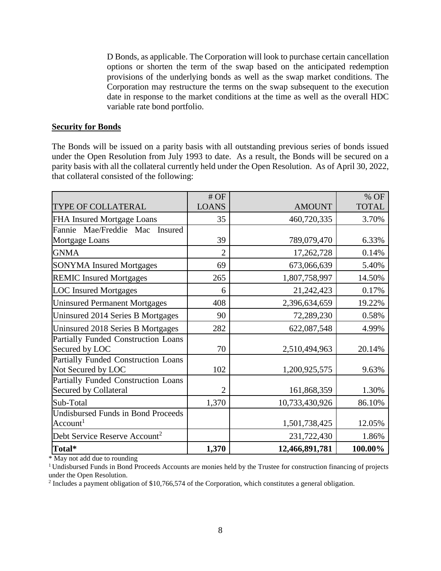D Bonds, as applicable. The Corporation will look to purchase certain cancellation options or shorten the term of the swap based on the anticipated redemption provisions of the underlying bonds as well as the swap market conditions. The Corporation may restructure the terms on the swap subsequent to the execution date in response to the market conditions at the time as well as the overall HDC variable rate bond portfolio.

#### **Security for Bonds**

The Bonds will be issued on a parity basis with all outstanding previous series of bonds issued under the Open Resolution from July 1993 to date. As a result, the Bonds will be secured on a parity basis with all the collateral currently held under the Open Resolution. As of April 30, 2022, that collateral consisted of the following:

|                                           | #OF            |                | % OF         |
|-------------------------------------------|----------------|----------------|--------------|
| TYPE OF COLLATERAL                        | <b>LOANS</b>   | <b>AMOUNT</b>  | <b>TOTAL</b> |
| FHA Insured Mortgage Loans                | 35             | 460,720,335    | 3.70%        |
| Fannie Mae/Freddie Mac<br>Insured         |                |                |              |
| Mortgage Loans                            | 39             | 789,079,470    | 6.33%        |
| <b>GNMA</b>                               | $\overline{2}$ | 17,262,728     | 0.14%        |
| <b>SONYMA Insured Mortgages</b>           | 69             | 673,066,639    | 5.40%        |
| <b>REMIC Insured Mortgages</b>            | 265            | 1,807,758,997  | 14.50%       |
| <b>LOC</b> Insured Mortgages              | 6              | 21,242,423     | 0.17%        |
| <b>Uninsured Permanent Mortgages</b>      | 408            | 2,396,634,659  | 19.22%       |
| Uninsured 2014 Series B Mortgages         | 90             | 72,289,230     | 0.58%        |
| Uninsured 2018 Series B Mortgages         | 282            | 622,087,548    | 4.99%        |
| Partially Funded Construction Loans       |                |                |              |
| Secured by LOC                            | 70             | 2,510,494,963  | 20.14%       |
| Partially Funded Construction Loans       |                |                |              |
| Not Secured by LOC                        | 102            | 1,200,925,575  | 9.63%        |
| Partially Funded Construction Loans       |                |                |              |
| <b>Secured by Collateral</b>              | $\overline{2}$ | 161,868,359    | 1.30%        |
| Sub-Total                                 | 1,370          | 10,733,430,926 | 86.10%       |
| <b>Undisbursed Funds in Bond Proceeds</b> |                |                |              |
| Account <sup>1</sup>                      |                | 1,501,738,425  | 12.05%       |
| Debt Service Reserve Account <sup>2</sup> |                | 231,722,430    | 1.86%        |
| Total*                                    | 1,370          | 12,466,891,781 | 100.00%      |

\* May not add due to rounding

<sup>&</sup>lt;sup>1</sup> Undisbursed Funds in Bond Proceeds Accounts are monies held by the Trustee for construction financing of projects under the Open Resolution.

 $2$  Includes a payment obligation of \$10,766,574 of the Corporation, which constitutes a general obligation.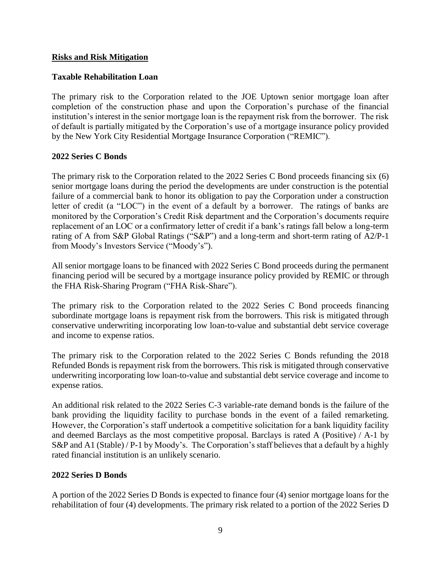## **Risks and Risk Mitigation**

# **Taxable Rehabilitation Loan**

The primary risk to the Corporation related to the JOE Uptown senior mortgage loan after completion of the construction phase and upon the Corporation's purchase of the financial institution's interest in the senior mortgage loan is the repayment risk from the borrower. The risk of default is partially mitigated by the Corporation's use of a mortgage insurance policy provided by the New York City Residential Mortgage Insurance Corporation ("REMIC").

# **2022 Series C Bonds**

The primary risk to the Corporation related to the 2022 Series C Bond proceeds financing six (6) senior mortgage loans during the period the developments are under construction is the potential failure of a commercial bank to honor its obligation to pay the Corporation under a construction letter of credit (a "LOC") in the event of a default by a borrower. The ratings of banks are monitored by the Corporation's Credit Risk department and the Corporation's documents require replacement of an LOC or a confirmatory letter of credit if a bank's ratings fall below a long-term rating of A from S&P Global Ratings ("S&P") and a long-term and short-term rating of A2/P-1 from Moody's Investors Service ("Moody's").

All senior mortgage loans to be financed with 2022 Series C Bond proceeds during the permanent financing period will be secured by a mortgage insurance policy provided by REMIC or through the FHA Risk-Sharing Program ("FHA Risk-Share").

The primary risk to the Corporation related to the 2022 Series C Bond proceeds financing subordinate mortgage loans is repayment risk from the borrowers. This risk is mitigated through conservative underwriting incorporating low loan-to-value and substantial debt service coverage and income to expense ratios.

The primary risk to the Corporation related to the 2022 Series C Bonds refunding the 2018 Refunded Bonds is repayment risk from the borrowers. This risk is mitigated through conservative underwriting incorporating low loan-to-value and substantial debt service coverage and income to expense ratios.

An additional risk related to the 2022 Series C-3 variable-rate demand bonds is the failure of the bank providing the liquidity facility to purchase bonds in the event of a failed remarketing. However, the Corporation's staff undertook a competitive solicitation for a bank liquidity facility and deemed Barclays as the most competitive proposal. Barclays is rated A (Positive) / A-1 by S&P and A1 (Stable) / P-1 by Moody's. The Corporation's staff believes that a default by a highly rated financial institution is an unlikely scenario.

# **2022 Series D Bonds**

A portion of the 2022 Series D Bonds is expected to finance four (4) senior mortgage loans for the rehabilitation of four (4) developments. The primary risk related to a portion of the 2022 Series D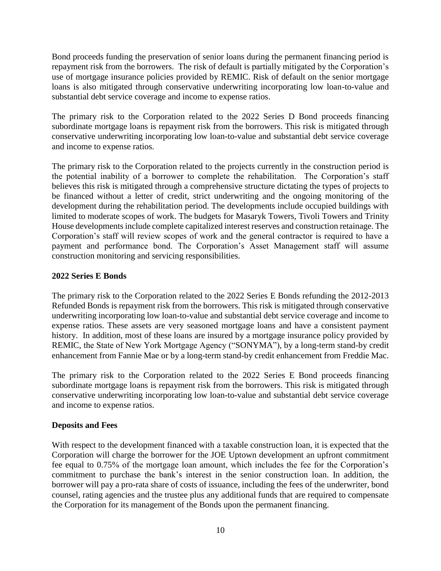Bond proceeds funding the preservation of senior loans during the permanent financing period is repayment risk from the borrowers. The risk of default is partially mitigated by the Corporation's use of mortgage insurance policies provided by REMIC. Risk of default on the senior mortgage loans is also mitigated through conservative underwriting incorporating low loan-to-value and substantial debt service coverage and income to expense ratios.

The primary risk to the Corporation related to the 2022 Series D Bond proceeds financing subordinate mortgage loans is repayment risk from the borrowers. This risk is mitigated through conservative underwriting incorporating low loan-to-value and substantial debt service coverage and income to expense ratios.

The primary risk to the Corporation related to the projects currently in the construction period is the potential inability of a borrower to complete the rehabilitation. The Corporation's staff believes this risk is mitigated through a comprehensive structure dictating the types of projects to be financed without a letter of credit, strict underwriting and the ongoing monitoring of the development during the rehabilitation period. The developments include occupied buildings with limited to moderate scopes of work. The budgets for Masaryk Towers, Tivoli Towers and Trinity House developments include complete capitalized interest reserves and construction retainage. The Corporation's staff will review scopes of work and the general contractor is required to have a payment and performance bond. The Corporation's Asset Management staff will assume construction monitoring and servicing responsibilities.

# **2022 Series E Bonds**

The primary risk to the Corporation related to the 2022 Series E Bonds refunding the 2012-2013 Refunded Bonds is repayment risk from the borrowers. This risk is mitigated through conservative underwriting incorporating low loan-to-value and substantial debt service coverage and income to expense ratios. These assets are very seasoned mortgage loans and have a consistent payment history. In addition, most of these loans are insured by a mortgage insurance policy provided by REMIC, the State of New York Mortgage Agency ("SONYMA"), by a long-term stand-by credit enhancement from Fannie Mae or by a long-term stand-by credit enhancement from Freddie Mac.

The primary risk to the Corporation related to the 2022 Series E Bond proceeds financing subordinate mortgage loans is repayment risk from the borrowers. This risk is mitigated through conservative underwriting incorporating low loan-to-value and substantial debt service coverage and income to expense ratios.

# **Deposits and Fees**

With respect to the development financed with a taxable construction loan, it is expected that the Corporation will charge the borrower for the JOE Uptown development an upfront commitment fee equal to 0.75% of the mortgage loan amount, which includes the fee for the Corporation's commitment to purchase the bank's interest in the senior construction loan. In addition, the borrower will pay a pro-rata share of costs of issuance, including the fees of the underwriter, bond counsel, rating agencies and the trustee plus any additional funds that are required to compensate the Corporation for its management of the Bonds upon the permanent financing.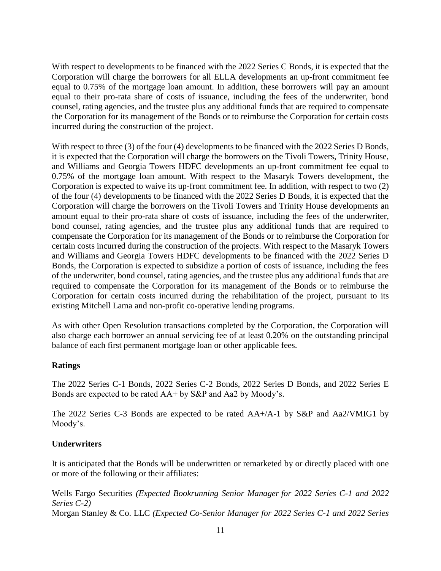With respect to developments to be financed with the 2022 Series C Bonds, it is expected that the Corporation will charge the borrowers for all ELLA developments an up-front commitment fee equal to 0.75% of the mortgage loan amount. In addition, these borrowers will pay an amount equal to their pro-rata share of costs of issuance, including the fees of the underwriter, bond counsel, rating agencies, and the trustee plus any additional funds that are required to compensate the Corporation for its management of the Bonds or to reimburse the Corporation for certain costs incurred during the construction of the project.

With respect to three (3) of the four (4) developments to be financed with the 2022 Series D Bonds, it is expected that the Corporation will charge the borrowers on the Tivoli Towers, Trinity House, and Williams and Georgia Towers HDFC developments an up-front commitment fee equal to 0.75% of the mortgage loan amount. With respect to the Masaryk Towers development, the Corporation is expected to waive its up-front commitment fee. In addition, with respect to two (2) of the four (4) developments to be financed with the 2022 Series D Bonds, it is expected that the Corporation will charge the borrowers on the Tivoli Towers and Trinity House developments an amount equal to their pro-rata share of costs of issuance, including the fees of the underwriter, bond counsel, rating agencies, and the trustee plus any additional funds that are required to compensate the Corporation for its management of the Bonds or to reimburse the Corporation for certain costs incurred during the construction of the projects. With respect to the Masaryk Towers and Williams and Georgia Towers HDFC developments to be financed with the 2022 Series D Bonds, the Corporation is expected to subsidize a portion of costs of issuance, including the fees of the underwriter, bond counsel, rating agencies, and the trustee plus any additional funds that are required to compensate the Corporation for its management of the Bonds or to reimburse the Corporation for certain costs incurred during the rehabilitation of the project, pursuant to its existing Mitchell Lama and non-profit co-operative lending programs.

As with other Open Resolution transactions completed by the Corporation, the Corporation will also charge each borrower an annual servicing fee of at least 0.20% on the outstanding principal balance of each first permanent mortgage loan or other applicable fees.

## **Ratings**

The 2022 Series C-1 Bonds, 2022 Series C-2 Bonds, 2022 Series D Bonds, and 2022 Series E Bonds are expected to be rated AA+ by S&P and Aa2 by Moody's.

The 2022 Series C-3 Bonds are expected to be rated AA+/A-1 by S&P and Aa2/VMIG1 by Moody's.

# **Underwriters**

It is anticipated that the Bonds will be underwritten or remarketed by or directly placed with one or more of the following or their affiliates:

Wells Fargo Securities *(Expected Bookrunning Senior Manager for 2022 Series C-1 and 2022 Series C-2)* Morgan Stanley & Co. LLC *(Expected Co-Senior Manager for 2022 Series C-1 and 2022 Series*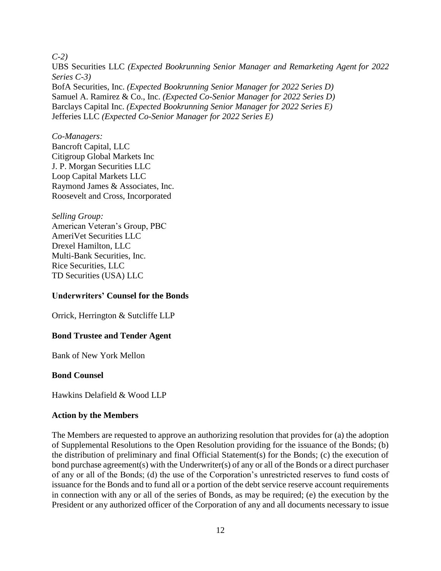#### *C-2)*

UBS Securities LLC *(Expected Bookrunning Senior Manager and Remarketing Agent for 2022 Series C-3)* BofA Securities, Inc. *(Expected Bookrunning Senior Manager for 2022 Series D)* Samuel A. Ramirez & Co., Inc. *(Expected Co-Senior Manager for 2022 Series D)* Barclays Capital Inc. *(Expected Bookrunning Senior Manager for 2022 Series E)* Jefferies LLC *(Expected Co-Senior Manager for 2022 Series E)*

#### *Co-Managers:*

Bancroft Capital, LLC Citigroup Global Markets Inc J. P. Morgan Securities LLC Loop Capital Markets LLC Raymond James & Associates, Inc. Roosevelt and Cross, Incorporated

*Selling Group:* American Veteran's Group, PBC AmeriVet Securities LLC Drexel Hamilton, LLC Multi-Bank Securities, Inc. Rice Securities, LLC TD Securities (USA) LLC

## **Underwriters' Counsel for the Bonds**

Orrick, Herrington & Sutcliffe LLP

## **Bond Trustee and Tender Agent**

Bank of New York Mellon

## **Bond Counsel**

Hawkins Delafield & Wood LLP

## **Action by the Members**

The Members are requested to approve an authorizing resolution that provides for (a) the adoption of Supplemental Resolutions to the Open Resolution providing for the issuance of the Bonds; (b) the distribution of preliminary and final Official Statement(s) for the Bonds; (c) the execution of bond purchase agreement(s) with the Underwriter(s) of any or all of the Bonds or a direct purchaser of any or all of the Bonds; (d) the use of the Corporation's unrestricted reserves to fund costs of issuance for the Bonds and to fund all or a portion of the debt service reserve account requirements in connection with any or all of the series of Bonds, as may be required; (e) the execution by the President or any authorized officer of the Corporation of any and all documents necessary to issue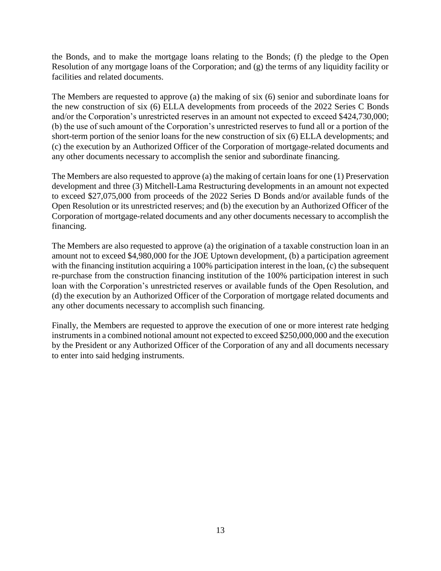the Bonds, and to make the mortgage loans relating to the Bonds; (f) the pledge to the Open Resolution of any mortgage loans of the Corporation; and (g) the terms of any liquidity facility or facilities and related documents.

The Members are requested to approve (a) the making of six (6) senior and subordinate loans for the new construction of six (6) ELLA developments from proceeds of the 2022 Series C Bonds and/or the Corporation's unrestricted reserves in an amount not expected to exceed \$424,730,000; (b) the use of such amount of the Corporation's unrestricted reserves to fund all or a portion of the short-term portion of the senior loans for the new construction of six (6) ELLA developments; and (c) the execution by an Authorized Officer of the Corporation of mortgage-related documents and any other documents necessary to accomplish the senior and subordinate financing.

The Members are also requested to approve (a) the making of certain loans for one (1) Preservation development and three (3) Mitchell-Lama Restructuring developments in an amount not expected to exceed \$27,075,000 from proceeds of the 2022 Series D Bonds and/or available funds of the Open Resolution or its unrestricted reserves; and (b) the execution by an Authorized Officer of the Corporation of mortgage-related documents and any other documents necessary to accomplish the financing.

The Members are also requested to approve (a) the origination of a taxable construction loan in an amount not to exceed \$4,980,000 for the JOE Uptown development, (b) a participation agreement with the financing institution acquiring a 100% participation interest in the loan, (c) the subsequent re-purchase from the construction financing institution of the 100% participation interest in such loan with the Corporation's unrestricted reserves or available funds of the Open Resolution, and (d) the execution by an Authorized Officer of the Corporation of mortgage related documents and any other documents necessary to accomplish such financing.

Finally, the Members are requested to approve the execution of one or more interest rate hedging instruments in a combined notional amount not expected to exceed \$250,000,000 and the execution by the President or any Authorized Officer of the Corporation of any and all documents necessary to enter into said hedging instruments.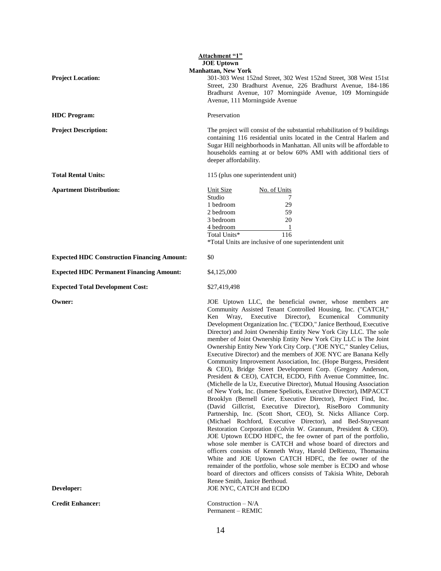| <b>Attachment "1"</b>                              |                                                                                                                                                                                                                                                                                                                                                                                                                                                                                                                                                                                                                                                                                                                                                                                                                                                                                                                                                                                                                                                                                                                                                                                                                                                                                                                                                                                                                                                                                                                                                                                                                                                         |  |
|----------------------------------------------------|---------------------------------------------------------------------------------------------------------------------------------------------------------------------------------------------------------------------------------------------------------------------------------------------------------------------------------------------------------------------------------------------------------------------------------------------------------------------------------------------------------------------------------------------------------------------------------------------------------------------------------------------------------------------------------------------------------------------------------------------------------------------------------------------------------------------------------------------------------------------------------------------------------------------------------------------------------------------------------------------------------------------------------------------------------------------------------------------------------------------------------------------------------------------------------------------------------------------------------------------------------------------------------------------------------------------------------------------------------------------------------------------------------------------------------------------------------------------------------------------------------------------------------------------------------------------------------------------------------------------------------------------------------|--|
|                                                    | <b>JOE Uptown</b>                                                                                                                                                                                                                                                                                                                                                                                                                                                                                                                                                                                                                                                                                                                                                                                                                                                                                                                                                                                                                                                                                                                                                                                                                                                                                                                                                                                                                                                                                                                                                                                                                                       |  |
| <b>Project Location:</b>                           | <b>Manhattan, New York</b><br>301-303 West 152nd Street, 302 West 152nd Street, 308 West 151st<br>Street, 230 Bradhurst Avenue, 226 Bradhurst Avenue, 184-186<br>Bradhurst Avenue, 107 Morningside Avenue, 109 Morningside<br>Avenue, 111 Morningside Avenue                                                                                                                                                                                                                                                                                                                                                                                                                                                                                                                                                                                                                                                                                                                                                                                                                                                                                                                                                                                                                                                                                                                                                                                                                                                                                                                                                                                            |  |
| <b>HDC</b> Program:                                | Preservation                                                                                                                                                                                                                                                                                                                                                                                                                                                                                                                                                                                                                                                                                                                                                                                                                                                                                                                                                                                                                                                                                                                                                                                                                                                                                                                                                                                                                                                                                                                                                                                                                                            |  |
| <b>Project Description:</b>                        | The project will consist of the substantial rehabilitation of 9 buildings<br>containing 116 residential units located in the Central Harlem and<br>Sugar Hill neighborhoods in Manhattan. All units will be affordable to<br>households earning at or below 60% AMI with additional tiers of<br>deeper affordability.                                                                                                                                                                                                                                                                                                                                                                                                                                                                                                                                                                                                                                                                                                                                                                                                                                                                                                                                                                                                                                                                                                                                                                                                                                                                                                                                   |  |
| <b>Total Rental Units:</b>                         | 115 (plus one superintendent unit)                                                                                                                                                                                                                                                                                                                                                                                                                                                                                                                                                                                                                                                                                                                                                                                                                                                                                                                                                                                                                                                                                                                                                                                                                                                                                                                                                                                                                                                                                                                                                                                                                      |  |
| <b>Apartment Distribution:</b>                     | Unit Size<br>No. of Units<br>Studio<br>7<br>1 bedroom<br>29<br>2 bedroom<br>59<br>20<br>3 bedroom<br>4 bedroom<br>$\overline{1}$<br>116<br>Total Units*<br>*Total Units are inclusive of one superintendent unit                                                                                                                                                                                                                                                                                                                                                                                                                                                                                                                                                                                                                                                                                                                                                                                                                                                                                                                                                                                                                                                                                                                                                                                                                                                                                                                                                                                                                                        |  |
| <b>Expected HDC Construction Financing Amount:</b> | \$0                                                                                                                                                                                                                                                                                                                                                                                                                                                                                                                                                                                                                                                                                                                                                                                                                                                                                                                                                                                                                                                                                                                                                                                                                                                                                                                                                                                                                                                                                                                                                                                                                                                     |  |
| <b>Expected HDC Permanent Financing Amount:</b>    | \$4,125,000                                                                                                                                                                                                                                                                                                                                                                                                                                                                                                                                                                                                                                                                                                                                                                                                                                                                                                                                                                                                                                                                                                                                                                                                                                                                                                                                                                                                                                                                                                                                                                                                                                             |  |
| <b>Expected Total Development Cost:</b>            | \$27,419,498                                                                                                                                                                                                                                                                                                                                                                                                                                                                                                                                                                                                                                                                                                                                                                                                                                                                                                                                                                                                                                                                                                                                                                                                                                                                                                                                                                                                                                                                                                                                                                                                                                            |  |
| Owner:                                             | JOE Uptown LLC, the beneficial owner, whose members are<br>Community Assisted Tenant Controlled Housing, Inc. ("CATCH,"<br>Wray, Executive Director), Ecumenical Community<br>Ken<br>Development Organization Inc. ("ECDO," Janice Berthoud, Executive<br>Director) and Joint Ownership Entity New York City LLC. The sole<br>member of Joint Ownership Entity New York City LLC is The Joint<br>Ownership Entity New York City Corp. ("JOE NYC," Stanley Celius,<br>Executive Director) and the members of JOE NYC are Banana Kelly<br>Community Improvement Association, Inc. (Hope Burgess, President<br>& CEO), Bridge Street Development Corp. (Gregory Anderson,<br>President & CEO), CATCH, ECDO, Fifth Avenue Committee, Inc.<br>(Michelle de la Uz, Executive Director), Mutual Housing Association<br>of New York, Inc. (Ismene Speliotis, Executive Director), IMPACCT<br>Brooklyn (Bernell Grier, Executive Director), Project Find, Inc.<br>(David Gillcrist, Executive Director), RiseBoro Community<br>Partnership, Inc. (Scott Short, CEO), St. Nicks Alliance Corp.<br>(Michael Rochford, Executive Director), and Bed-Stuyvesant<br>Restoration Corporation (Colvin W. Grannum, President & CEO).<br>JOE Uptown ECDO HDFC, the fee owner of part of the portfolio,<br>whose sole member is CATCH and whose board of directors and<br>officers consists of Kenneth Wray, Harold DeRienzo, Thomasina<br>White and JOE Uptown CATCH HDFC, the fee owner of the<br>remainder of the portfolio, whose sole member is ECDO and whose<br>board of directors and officers consists of Takisia White, Deborah<br>Renee Smith, Janice Berthoud. |  |
| Developer:                                         | JOE NYC, CATCH and ECDO                                                                                                                                                                                                                                                                                                                                                                                                                                                                                                                                                                                                                                                                                                                                                                                                                                                                                                                                                                                                                                                                                                                                                                                                                                                                                                                                                                                                                                                                                                                                                                                                                                 |  |
| <b>Credit Enhancer:</b>                            | Construction $-N/A$<br>Permanent - REMIC                                                                                                                                                                                                                                                                                                                                                                                                                                                                                                                                                                                                                                                                                                                                                                                                                                                                                                                                                                                                                                                                                                                                                                                                                                                                                                                                                                                                                                                                                                                                                                                                                |  |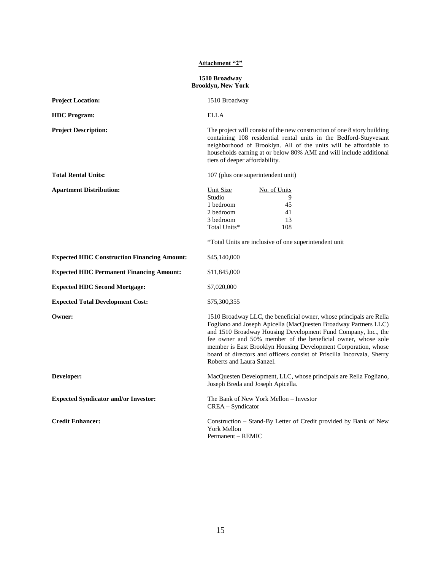# **Attachment "2" 1510 Broadway Brooklyn, New York Project Location:** 1510 Broadway **HDC Program:** ELLA

**Expected HDC Construction Financing Amount:** \$45,140,000

**Project Description:** The project will consist of the new construction of one 8 story building containing 108 residential rental units in the Bedford-Stuyvesant neighborhood of Brooklyn. All of the units will be affordable to households earning at or below 80% AMI and will include additional tiers of deeper affordability.

| <b>Total Rental Units:</b>     | 107 (plus one superintendent unit) |              |
|--------------------------------|------------------------------------|--------------|
| <b>Apartment Distribution:</b> | Unit Size                          | No. of Units |
|                                | Studio                             |              |
|                                | 1 bedroom                          | 45           |
|                                | 2 bedroom                          | 41           |
|                                | 3 bedroom                          | 13           |
|                                | Total Units*                       | 108          |

\*Total Units are inclusive of one superintendent unit

| <b>Expected HDC Construction Financing Amount:</b> |  |
|----------------------------------------------------|--|
|                                                    |  |

**Expected HDC Permanent Financing Amount:** \$11,845,000

**Expected HDC Second Mortgage:** \$7,020,000

**Expected Total Development Cost:** \$75,300,355

**Owner:** 1510 Broadway LLC, the beneficial owner, whose principals are Rella Fogliano and Joseph Apicella (MacQuesten Broadway Partners LLC) and 1510 Broadway Housing Development Fund Company, Inc., the fee owner and 50% member of the beneficial owner, whose sole member is East Brooklyn Housing Development Corporation, whose board of directors and officers consist of Priscilla Incorvaia, Sherry Roberts and Laura Sanzel.

**Developer:** MacQuesten Development, LLC, whose principals are Rella Fogliano, Joseph Breda and Joseph Apicella.

**Expected Syndicator and/or Investor:** The Bank of New York Mellon – Investor CREA – Syndicator

**Credit Enhancer:** Construction – Stand-By Letter of Credit provided by Bank of New York Mellon Permanent – REMIC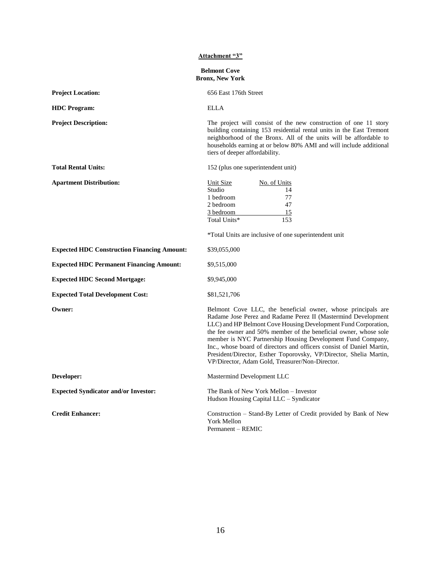|                                                    | <b>Attachment "3"</b>                                                                                                                                                                                                                                                                                                                                                                                                                                                                                                                |
|----------------------------------------------------|--------------------------------------------------------------------------------------------------------------------------------------------------------------------------------------------------------------------------------------------------------------------------------------------------------------------------------------------------------------------------------------------------------------------------------------------------------------------------------------------------------------------------------------|
|                                                    | <b>Belmont Cove</b><br><b>Bronx, New York</b>                                                                                                                                                                                                                                                                                                                                                                                                                                                                                        |
| <b>Project Location:</b>                           | 656 East 176th Street                                                                                                                                                                                                                                                                                                                                                                                                                                                                                                                |
| <b>HDC</b> Program:                                | <b>ELLA</b>                                                                                                                                                                                                                                                                                                                                                                                                                                                                                                                          |
| <b>Project Description:</b>                        | The project will consist of the new construction of one 11 story<br>building containing 153 residential rental units in the East Tremont<br>neighborhood of the Bronx. All of the units will be affordable to<br>households earning at or below 80% AMI and will include additional<br>tiers of deeper affordability.                                                                                                                                                                                                                |
| <b>Total Rental Units:</b>                         | 152 (plus one superintendent unit)                                                                                                                                                                                                                                                                                                                                                                                                                                                                                                   |
| <b>Apartment Distribution:</b>                     | <b>Unit Size</b><br>No. of Units<br>Studio<br>14<br>77<br>1 bedroom<br>47<br>2 bedroom<br>15<br>3 bedroom<br>Total Units*<br>153<br>*Total Units are inclusive of one superintendent unit                                                                                                                                                                                                                                                                                                                                            |
| <b>Expected HDC Construction Financing Amount:</b> | \$39,055,000                                                                                                                                                                                                                                                                                                                                                                                                                                                                                                                         |
| <b>Expected HDC Permanent Financing Amount:</b>    | \$9,515,000                                                                                                                                                                                                                                                                                                                                                                                                                                                                                                                          |
| <b>Expected HDC Second Mortgage:</b>               | \$9,945,000                                                                                                                                                                                                                                                                                                                                                                                                                                                                                                                          |
| <b>Expected Total Development Cost:</b>            | \$81,521,706                                                                                                                                                                                                                                                                                                                                                                                                                                                                                                                         |
| Owner:                                             | Belmont Cove LLC, the beneficial owner, whose principals are<br>Radame Jose Perez and Radame Perez II (Mastermind Development<br>LLC) and HP Belmont Cove Housing Development Fund Corporation,<br>the fee owner and 50% member of the beneficial owner, whose sole<br>member is NYC Partnership Housing Development Fund Company,<br>Inc., whose board of directors and officers consist of Daniel Martin,<br>President/Director, Esther Toporovsky, VP/Director, Shelia Martin,<br>VP/Director, Adam Gold, Treasurer/Non-Director. |
| Developer:                                         | Mastermind Development LLC                                                                                                                                                                                                                                                                                                                                                                                                                                                                                                           |
| <b>Expected Syndicator and/or Investor:</b>        | The Bank of New York Mellon - Investor<br>Hudson Housing Capital LLC - Syndicator                                                                                                                                                                                                                                                                                                                                                                                                                                                    |
| <b>Credit Enhancer:</b>                            | Construction – Stand-By Letter of Credit provided by Bank of New<br>York Mellon<br>Permanent - REMIC                                                                                                                                                                                                                                                                                                                                                                                                                                 |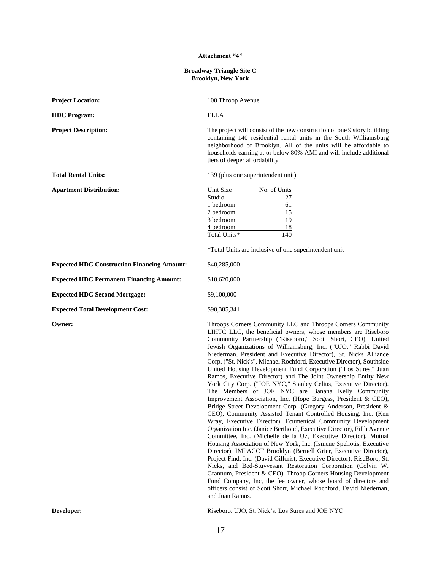#### **Attachment "4"**

#### **Broadway Triangle Site C Brooklyn, New York**

| <b>Project Location:</b>                           | 100 Throop Avenue                                                                                                                                                                                                                                                                                                               |
|----------------------------------------------------|---------------------------------------------------------------------------------------------------------------------------------------------------------------------------------------------------------------------------------------------------------------------------------------------------------------------------------|
| <b>HDC</b> Program:                                | <b>ELLA</b>                                                                                                                                                                                                                                                                                                                     |
| <b>Project Description:</b>                        | The project will consist of the new construction of one 9 story building<br>containing 140 residential rental units in the South Williamsburg<br>neighborhood of Brooklyn. All of the units will be affordable to<br>households earning at or below 80% AMI and will include additional<br>tiers of deeper affordability.       |
| <b>Total Rental Units:</b>                         | 139 (plus one superintendent unit)                                                                                                                                                                                                                                                                                              |
| <b>Apartment Distribution:</b>                     | Unit Size<br>No. of Units<br>Studio<br>27<br>1 bedroom<br>61<br>2 bedroom<br>15<br>3 bedroom<br>19<br>4 bedroom<br>18<br>Total Units*<br>140<br>*Total Units are inclusive of one superintendent unit                                                                                                                           |
| <b>Expected HDC Construction Financing Amount:</b> | \$40,285,000                                                                                                                                                                                                                                                                                                                    |
| <b>Expected HDC Permanent Financing Amount:</b>    | \$10,620,000                                                                                                                                                                                                                                                                                                                    |
| <b>Expected HDC Second Mortgage:</b>               | \$9,100,000                                                                                                                                                                                                                                                                                                                     |
| <b>Expected Total Development Cost:</b>            | \$90,385,341                                                                                                                                                                                                                                                                                                                    |
| Owner:                                             | Throops Corners Community LLC and Throops Corners Community<br>LIHTC LLC, the beneficial owners, whose members are Riseboro<br>Community Partnership ("Riseboro," Scott Short, CEO), United<br>Jewish Organizations of Williamsburg, Inc. ("UJO," Rabbi David<br>Niederman President and Executive Director) St. Nicks Alliance |

Niederman, President and Executive Director), St. Nicks Alliance Corp. ("St. Nick's", Michael Rochford, Executive Director), Southside United Housing Development Fund Corporation ("Los Sures," Juan Ramos, Executive Director) and The Joint Ownership Entity New York City Corp. ("JOE NYC," Stanley Celius, Executive Director). The Members of JOE NYC are Banana Kelly Community Improvement Association, Inc. (Hope Burgess, President & CEO), Bridge Street Development Corp. (Gregory Anderson, President & CEO), Community Assisted Tenant Controlled Housing, Inc. (Ken Wray, Executive Director), Ecumenical Community Development Organization Inc. (Janice Berthoud, Executive Director), Fifth Avenue Committee, Inc. (Michelle de la Uz, Executive Director), Mutual Housing Association of New York, Inc. (Ismene Speliotis, Executive Director), IMPACCT Brooklyn (Bernell Grier, Executive Director), Project Find, Inc. (David Gillcrist, Executive Director), RiseBoro, St. Nicks, and Bed-Stuyvesant Restoration Corporation (Colvin W. Grannum, President & CEO). Throop Corners Housing Development Fund Company, Inc, the fee owner, whose board of directors and officers consist of Scott Short, Michael Rochford, David Niedernan, and Juan Ramos.

**Developer:** Riseboro, UJO, St. Nick's, Los Sures and JOE NYC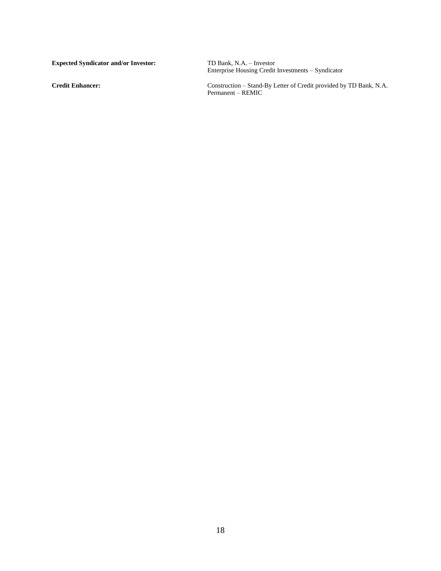**Expected Syndicator and/or Investor:** 

Enterprise Housing Credit Investments – Syndicator

**Credit Enhancer:** Construction – Stand-By Letter of Credit provided by TD Bank, N.A. Permanent – REMIC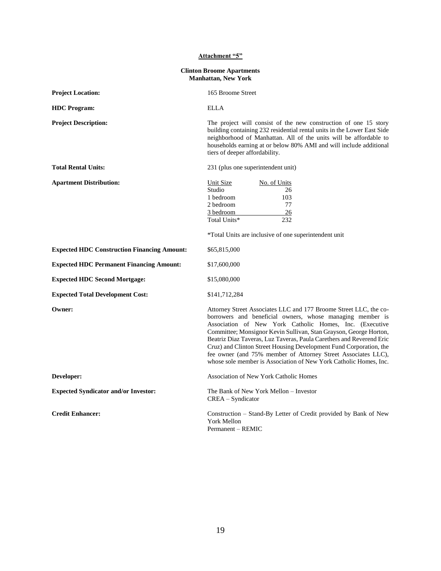| Attachment "5"                                                 |                                                                                                                                                                                                                                                                                                                                                                                                                                                                                                                                                    |  |
|----------------------------------------------------------------|----------------------------------------------------------------------------------------------------------------------------------------------------------------------------------------------------------------------------------------------------------------------------------------------------------------------------------------------------------------------------------------------------------------------------------------------------------------------------------------------------------------------------------------------------|--|
| <b>Clinton Broome Apartments</b><br><b>Manhattan, New York</b> |                                                                                                                                                                                                                                                                                                                                                                                                                                                                                                                                                    |  |
| <b>Project Location:</b>                                       | 165 Broome Street                                                                                                                                                                                                                                                                                                                                                                                                                                                                                                                                  |  |
| <b>HDC</b> Program:                                            | <b>ELLA</b>                                                                                                                                                                                                                                                                                                                                                                                                                                                                                                                                        |  |
| <b>Project Description:</b>                                    | The project will consist of the new construction of one 15 story<br>building containing 232 residential rental units in the Lower East Side<br>neighborhood of Manhattan. All of the units will be affordable to<br>households earning at or below 80% AMI and will include additional<br>tiers of deeper affordability.                                                                                                                                                                                                                           |  |
| <b>Total Rental Units:</b>                                     | 231 (plus one superintendent unit)                                                                                                                                                                                                                                                                                                                                                                                                                                                                                                                 |  |
| <b>Apartment Distribution:</b>                                 | <b>Unit Size</b><br>No. of Units<br>Studio<br>26<br>103<br>1 bedroom<br>77<br>2 bedroom<br>26<br>3 bedroom<br>Total Units*<br>232<br>*Total Units are inclusive of one superintendent unit                                                                                                                                                                                                                                                                                                                                                         |  |
| <b>Expected HDC Construction Financing Amount:</b>             | \$65,815,000                                                                                                                                                                                                                                                                                                                                                                                                                                                                                                                                       |  |
| <b>Expected HDC Permanent Financing Amount:</b>                | \$17,600,000                                                                                                                                                                                                                                                                                                                                                                                                                                                                                                                                       |  |
| <b>Expected HDC Second Mortgage:</b>                           | \$15,080,000                                                                                                                                                                                                                                                                                                                                                                                                                                                                                                                                       |  |
| <b>Expected Total Development Cost:</b>                        | \$141,712,284                                                                                                                                                                                                                                                                                                                                                                                                                                                                                                                                      |  |
| Owner:                                                         | Attorney Street Associates LLC and 177 Broome Street LLC, the co-<br>borrowers and beneficial owners, whose managing member is<br>Association of New York Catholic Homes, Inc. (Executive<br>Committee; Monsignor Kevin Sullivan, Stan Grayson, George Horton,<br>Beatriz Diaz Taveras, Luz Taveras, Paula Carethers and Reverend Eric<br>Cruz) and Clinton Street Housing Development Fund Corporation, the<br>fee owner (and 75% member of Attorney Street Associates LLC),<br>whose sole member is Association of New York Catholic Homes, Inc. |  |
| Developer:                                                     | Association of New York Catholic Homes                                                                                                                                                                                                                                                                                                                                                                                                                                                                                                             |  |
| <b>Expected Syndicator and/or Investor:</b>                    | The Bank of New York Mellon – Investor<br>CREA - Syndicator                                                                                                                                                                                                                                                                                                                                                                                                                                                                                        |  |
| <b>Credit Enhancer:</b>                                        | Construction – Stand-By Letter of Credit provided by Bank of New<br>York Mellon<br>Permanent - REMIC                                                                                                                                                                                                                                                                                                                                                                                                                                               |  |

19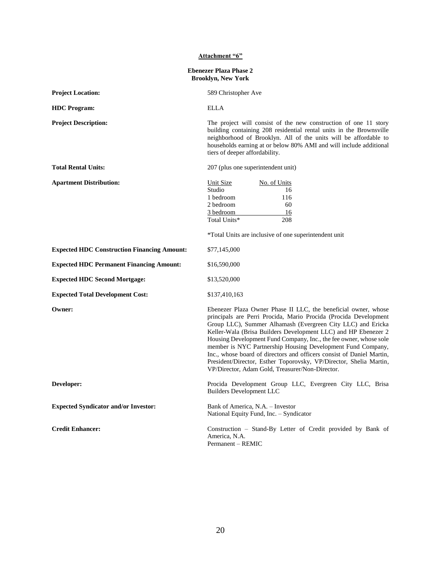| Attachment "6"                                             |                                                                                                                                                                                                                                                                                                                                                                                                                                                                                                                                                                                                           |  |
|------------------------------------------------------------|-----------------------------------------------------------------------------------------------------------------------------------------------------------------------------------------------------------------------------------------------------------------------------------------------------------------------------------------------------------------------------------------------------------------------------------------------------------------------------------------------------------------------------------------------------------------------------------------------------------|--|
| <b>Ebenezer Plaza Phase 2</b><br><b>Brooklyn, New York</b> |                                                                                                                                                                                                                                                                                                                                                                                                                                                                                                                                                                                                           |  |
| <b>Project Location:</b>                                   | 589 Christopher Ave                                                                                                                                                                                                                                                                                                                                                                                                                                                                                                                                                                                       |  |
| <b>HDC</b> Program:                                        | <b>ELLA</b>                                                                                                                                                                                                                                                                                                                                                                                                                                                                                                                                                                                               |  |
| <b>Project Description:</b>                                | The project will consist of the new construction of one 11 story<br>building containing 208 residential rental units in the Brownsville<br>neighborhood of Brooklyn. All of the units will be affordable to<br>households earning at or below 80% AMI and will include additional<br>tiers of deeper affordability.                                                                                                                                                                                                                                                                                       |  |
| <b>Total Rental Units:</b>                                 | 207 (plus one superintendent unit)                                                                                                                                                                                                                                                                                                                                                                                                                                                                                                                                                                        |  |
| <b>Apartment Distribution:</b>                             | <b>Unit Size</b><br>No. of Units<br>Studio<br>16<br>1 bedroom<br>116<br>60<br>2 bedroom<br>3 bedroom<br>16<br>Total Units*<br>208<br>*Total Units are inclusive of one superintendent unit                                                                                                                                                                                                                                                                                                                                                                                                                |  |
| <b>Expected HDC Construction Financing Amount:</b>         | \$77,145,000                                                                                                                                                                                                                                                                                                                                                                                                                                                                                                                                                                                              |  |
| <b>Expected HDC Permanent Financing Amount:</b>            | \$16,590,000                                                                                                                                                                                                                                                                                                                                                                                                                                                                                                                                                                                              |  |
| <b>Expected HDC Second Mortgage:</b>                       | \$13,520,000                                                                                                                                                                                                                                                                                                                                                                                                                                                                                                                                                                                              |  |
| <b>Expected Total Development Cost:</b>                    | \$137,410,163                                                                                                                                                                                                                                                                                                                                                                                                                                                                                                                                                                                             |  |
| Owner:                                                     | Ebenezer Plaza Owner Phase II LLC, the beneficial owner, whose<br>principals are Perri Procida, Mario Procida (Procida Development<br>Group LLC), Summer Alhamash (Evergreen City LLC) and Ericka<br>Keller-Wala (Brisa Builders Development LLC) and HP Ebenezer 2<br>Housing Development Fund Company, Inc., the fee owner, whose sole<br>member is NYC Partnership Housing Development Fund Company,<br>Inc., whose board of directors and officers consist of Daniel Martin,<br>President/Director, Esther Toporovsky, VP/Director, Shelia Martin,<br>VP/Director, Adam Gold, Treasurer/Non-Director. |  |
| Developer:                                                 | Procida Development Group LLC, Evergreen City LLC, Brisa<br><b>Builders Development LLC</b>                                                                                                                                                                                                                                                                                                                                                                                                                                                                                                               |  |
| <b>Expected Syndicator and/or Investor:</b>                | Bank of America, N.A. - Investor<br>National Equity Fund, Inc. - Syndicator                                                                                                                                                                                                                                                                                                                                                                                                                                                                                                                               |  |
| <b>Credit Enhancer:</b>                                    | Construction - Stand-By Letter of Credit provided by Bank of<br>America, N.A.<br>Permanent - REMIC                                                                                                                                                                                                                                                                                                                                                                                                                                                                                                        |  |

# 20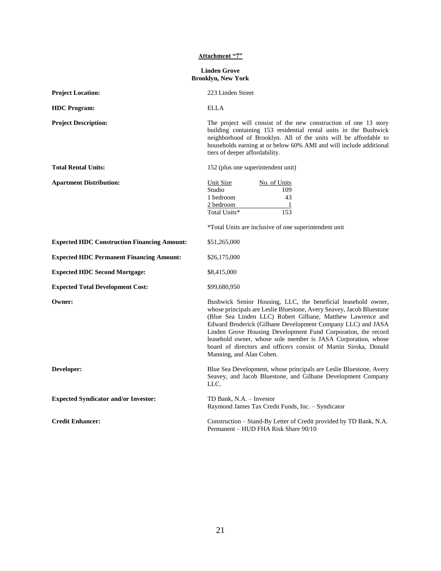#### **Attachment "7"**

#### **Linden Grove Brooklyn, New York**

| <b>Project Location:</b>                           | 223 Linden Street                                                                                                                                                                                                                                                                                                                                                                                                                                                                                    |
|----------------------------------------------------|------------------------------------------------------------------------------------------------------------------------------------------------------------------------------------------------------------------------------------------------------------------------------------------------------------------------------------------------------------------------------------------------------------------------------------------------------------------------------------------------------|
| <b>HDC</b> Program:                                | <b>ELLA</b>                                                                                                                                                                                                                                                                                                                                                                                                                                                                                          |
| <b>Project Description:</b>                        | The project will consist of the new construction of one 13 story<br>building containing 153 residential rental units in the Bushwick<br>neighborhood of Brooklyn. All of the units will be affordable to<br>households earning at or below 60% AMI and will include additional<br>tiers of deeper affordability.                                                                                                                                                                                     |
| <b>Total Rental Units:</b>                         | 152 (plus one superintendent unit)                                                                                                                                                                                                                                                                                                                                                                                                                                                                   |
| <b>Apartment Distribution:</b>                     | Unit Size<br>No. of Units<br>Studio<br>109<br>43<br>1 bedroom<br>2 bedroom<br>$\overline{\phantom{0}}$<br>153<br>Total Units*                                                                                                                                                                                                                                                                                                                                                                        |
|                                                    | *Total Units are inclusive of one superintendent unit                                                                                                                                                                                                                                                                                                                                                                                                                                                |
| <b>Expected HDC Construction Financing Amount:</b> | \$51,265,000                                                                                                                                                                                                                                                                                                                                                                                                                                                                                         |
| <b>Expected HDC Permanent Financing Amount:</b>    | \$26,175,000                                                                                                                                                                                                                                                                                                                                                                                                                                                                                         |
| <b>Expected HDC Second Mortgage:</b>               | \$8,415,000                                                                                                                                                                                                                                                                                                                                                                                                                                                                                          |
| <b>Expected Total Development Cost:</b>            | \$99,680,950                                                                                                                                                                                                                                                                                                                                                                                                                                                                                         |
| Owner:                                             | Bushwick Senior Housing, LLC, the beneficial leasehold owner,<br>whose principals are Leslie Bluestone, Avery Seavey, Jacob Bluestone<br>(Blue Sea Linden LLC) Robert Gilbane, Matthew Lawrence and<br>Edward Broderick (Gilbane Development Company LLC) and JASA<br>Linden Grove Housing Development Fund Corporation, the record<br>leasehold owner, whose sole member is JASA Corporation, whose<br>board of directors and officers consist of Martin Siroka, Donald<br>Manning, and Alan Cohen. |
| Developer:                                         | Blue Sea Development, whose principals are Leslie Bluestone, Avery<br>Seavey, and Jacob Bluestone, and Gilbane Development Company<br>LLC.                                                                                                                                                                                                                                                                                                                                                           |
| <b>Expected Syndicator and/or Investor:</b>        | TD Bank, N.A. - Investor<br>Raymond James Tax Credit Funds, Inc. - Syndicator                                                                                                                                                                                                                                                                                                                                                                                                                        |
| <b>Credit Enhancer:</b>                            | Construction – Stand-By Letter of Credit provided by TD Bank, N.A.<br>Permanent - HUD FHA Risk Share 90/10                                                                                                                                                                                                                                                                                                                                                                                           |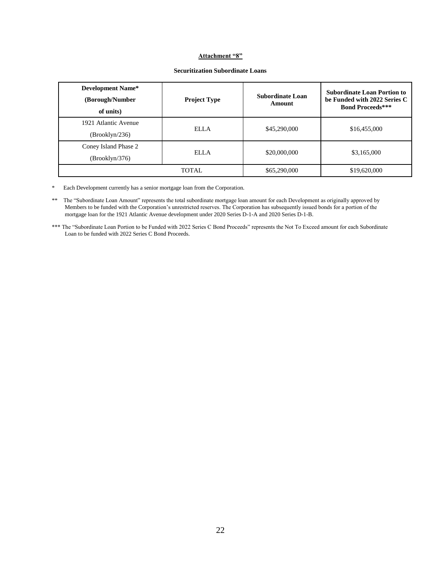#### **Attachment "8"**

| <b>Development Name*</b><br>(Borough/Number<br>of units) | <b>Project Type</b> | <b>Subordinate Loan</b><br>Amount | <b>Subordinate Loan Portion to</b><br>be Funded with 2022 Series C<br><b>Bond Proceeds***</b> |
|----------------------------------------------------------|---------------------|-----------------------------------|-----------------------------------------------------------------------------------------------|
| 1921 Atlantic Avenue<br>(Brooklyn/236)                   | ELLA                | \$45,290,000                      | \$16,455,000                                                                                  |
| Coney Island Phase 2<br>(Brooklyn/376)                   | ELLA                | \$20,000,000                      | \$3,165,000                                                                                   |
|                                                          | <b>TOTAL</b>        | \$65,290,000                      | \$19,620,000                                                                                  |

#### **Securitization Subordinate Loans**

\* Each Development currently has a senior mortgage loan from the Corporation.

\*\* The "Subordinate Loan Amount" represents the total subordinate mortgage loan amount for each Development as originally approved by Members to be funded with the Corporation's unrestricted reserves. The Corporation has subsequently issued bonds for a portion of the mortgage loan for the 1921 Atlantic Avenue development under 2020 Series D-1-A and 2020 Series D-1-B.

\*\*\* The "Subordinate Loan Portion to be Funded with 2022 Series C Bond Proceeds" represents the Not To Exceed amount for each Subordinate Loan to be funded with 2022 Series C Bond Proceeds.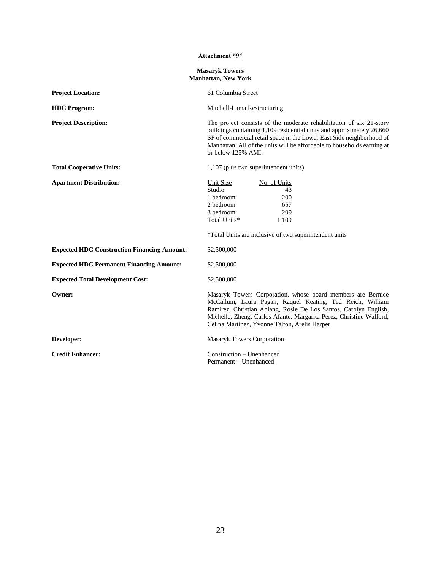#### **Attachment "9"**

#### **Masaryk Towers Manhattan, New York**

| <b>Project Location:</b>                           | 61 Columbia Street                                                                                                                                                                                                                                                                                                    |
|----------------------------------------------------|-----------------------------------------------------------------------------------------------------------------------------------------------------------------------------------------------------------------------------------------------------------------------------------------------------------------------|
| <b>HDC</b> Program:                                | Mitchell-Lama Restructuring                                                                                                                                                                                                                                                                                           |
| <b>Project Description:</b>                        | The project consists of the moderate rehabilitation of six 21-story<br>buildings containing 1,109 residential units and approximately 26,660<br>SF of commercial retail space in the Lower East Side neighborhood of<br>Manhattan. All of the units will be affordable to households earning at<br>or below 125% AMI. |
| <b>Total Cooperative Units:</b>                    | 1,107 (plus two superintendent units)                                                                                                                                                                                                                                                                                 |
| <b>Apartment Distribution:</b>                     | Unit Size<br>No. of Units<br>Studio<br>43<br>1 bedroom<br>200<br>2 bedroom<br>657<br>209<br>3 bedroom<br>Total Units*<br>1.109<br>*Total Units are inclusive of two superintendent units                                                                                                                              |
| <b>Expected HDC Construction Financing Amount:</b> | \$2,500,000                                                                                                                                                                                                                                                                                                           |
| <b>Expected HDC Permanent Financing Amount:</b>    | \$2,500,000                                                                                                                                                                                                                                                                                                           |
| <b>Expected Total Development Cost:</b>            | \$2,500,000                                                                                                                                                                                                                                                                                                           |
| Owner:                                             | Masaryk Towers Corporation, whose board members are Bernice<br>McCallum, Laura Pagan, Raquel Keating, Ted Reich, William<br>Ramirez, Christian Ablang, Rosie De Los Santos, Carolyn English,<br>Michelle, Zheng, Carlos Afante, Margarita Perez, Christine Walford,<br>Celina Martinez, Yvonne Talton, Arelis Harper  |
| Developer:                                         | Masaryk Towers Corporation                                                                                                                                                                                                                                                                                            |
| <b>Credit Enhancer:</b>                            | Construction - Unenhanced<br>Permanent - Unenhanced                                                                                                                                                                                                                                                                   |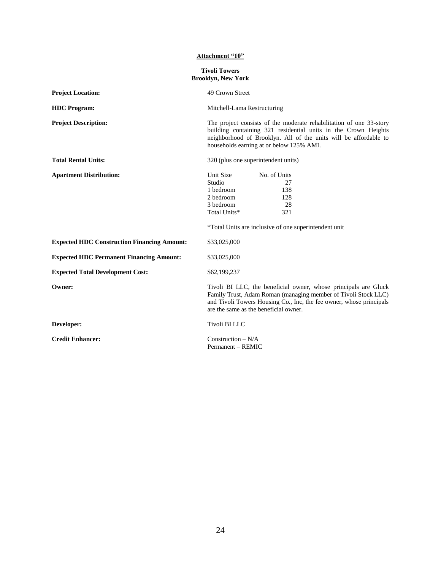| Attachment "10"                                    |                                                                                                                                                                                                                                                       |  |  |
|----------------------------------------------------|-------------------------------------------------------------------------------------------------------------------------------------------------------------------------------------------------------------------------------------------------------|--|--|
| <b>Tivoli Towers</b><br><b>Brooklyn, New York</b>  |                                                                                                                                                                                                                                                       |  |  |
| <b>Project Location:</b>                           | 49 Crown Street                                                                                                                                                                                                                                       |  |  |
| <b>HDC</b> Program:                                | Mitchell-Lama Restructuring                                                                                                                                                                                                                           |  |  |
| <b>Project Description:</b>                        | The project consists of the moderate rehabilitation of one 33-story<br>building containing 321 residential units in the Crown Heights<br>neighborhood of Brooklyn. All of the units will be affordable to<br>households earning at or below 125% AMI. |  |  |
| <b>Total Rental Units:</b>                         | 320 (plus one superintendent units)                                                                                                                                                                                                                   |  |  |
| <b>Apartment Distribution:</b>                     | <b>Unit Size</b><br>No. of Units<br>Studio<br>27<br>1 bedroom<br>138<br>2 bedroom<br>128<br>3 bedroom<br>28<br>Total Units*<br>321<br>*Total Units are inclusive of one superintendent unit                                                           |  |  |
| <b>Expected HDC Construction Financing Amount:</b> | \$33,025,000                                                                                                                                                                                                                                          |  |  |
| <b>Expected HDC Permanent Financing Amount:</b>    | \$33,025,000                                                                                                                                                                                                                                          |  |  |
| <b>Expected Total Development Cost:</b>            | \$62,199,237                                                                                                                                                                                                                                          |  |  |
| Owner:                                             | Tivoli BI LLC, the beneficial owner, whose principals are Gluck<br>Family Trust, Adam Roman (managing member of Tivoli Stock LLC)<br>and Tivoli Towers Housing Co., Inc, the fee owner, whose principals<br>are the same as the beneficial owner.     |  |  |
| Developer:                                         | <b>Tivoli BILLC</b>                                                                                                                                                                                                                                   |  |  |
| <b>Credit Enhancer:</b>                            | Construction $- N/A$<br>Permanent - REMIC                                                                                                                                                                                                             |  |  |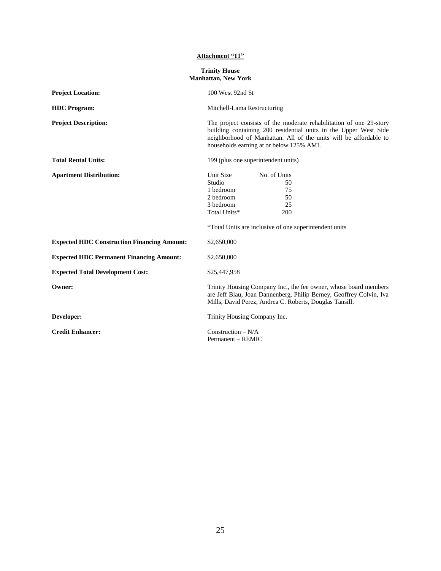#### **Attachment "11"**

| <b>Trinity House</b>       |  |
|----------------------------|--|
| <b>Manhattan, New York</b> |  |

| <b>Project Location:</b>                           | 100 West 92nd St                                                                                                                                                                                                                                         |
|----------------------------------------------------|----------------------------------------------------------------------------------------------------------------------------------------------------------------------------------------------------------------------------------------------------------|
| <b>HDC</b> Program:                                | Mitchell-Lama Restructuring                                                                                                                                                                                                                              |
| <b>Project Description:</b>                        | The project consists of the moderate rehabilitation of one 29-story<br>building containing 200 residential units in the Upper West Side<br>neighborhood of Manhattan. All of the units will be affordable to<br>households earning at or below 125% AMI. |
| <b>Total Rental Units:</b>                         | 199 (plus one superintendent units)                                                                                                                                                                                                                      |
| <b>Apartment Distribution:</b>                     | Unit Size<br>No. of Units<br>Studio<br>50<br>1 bedroom<br>75<br>2 bedroom<br>50<br>3 bedroom<br>25<br>Total Units*<br>200<br>*Total Units are inclusive of one superintendent units                                                                      |
| <b>Expected HDC Construction Financing Amount:</b> | \$2,650,000                                                                                                                                                                                                                                              |
| <b>Expected HDC Permanent Financing Amount:</b>    | \$2,650,000                                                                                                                                                                                                                                              |
| <b>Expected Total Development Cost:</b>            | \$25,447,958                                                                                                                                                                                                                                             |
| Owner:                                             | Trinity Housing Company Inc., the fee owner, whose board members<br>are Jeff Blau, Joan Dannenberg, Philip Berney, Geoffrey Colvin, Iva<br>Mills, David Perez, Andrea C. Roberts, Douglas Tansill.                                                       |
| Developer:                                         | Trinity Housing Company Inc.                                                                                                                                                                                                                             |
| <b>Credit Enhancer:</b>                            | Construction $-N/A$                                                                                                                                                                                                                                      |

Permanent – REMIC